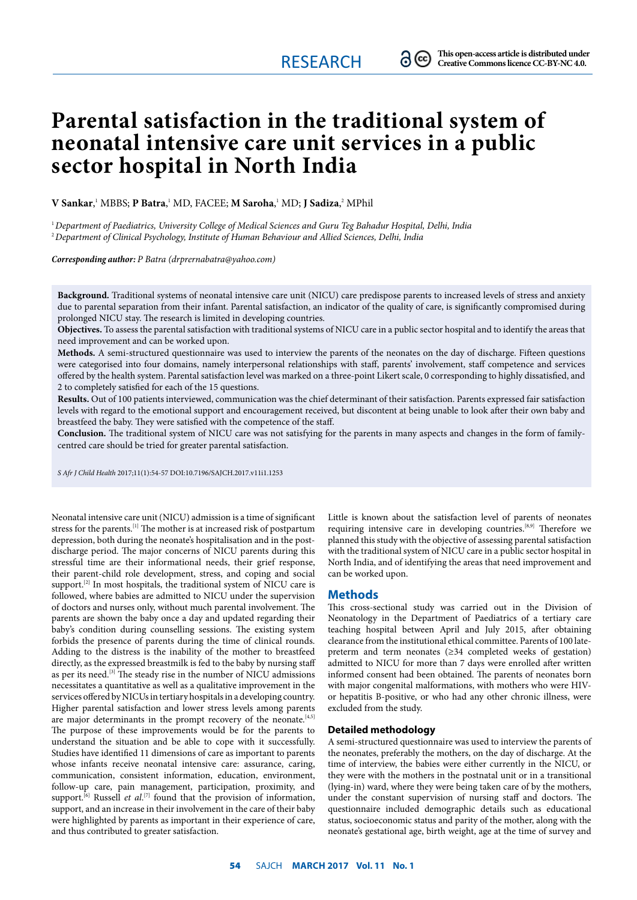# **Parental satisfaction in the traditional system of neonatal intensive care unit services in a public sector hospital in North India**

**V Sankar**, 1 MBBS; **P Batra**, 1 MD, FACEE; **M Saroha**, 1 MD; **J Sadiza**, 2 MPhil

1 *Department of Paediatrics, University College of Medical Sciences and Guru Teg Bahadur Hospital, Delhi, India* <sup>2</sup>*Department of Clinical Psychology, Institute of Human Behaviour and Allied Sciences, Delhi, India*

*Corresponding author: P Batra (drprernabatra@yahoo.com)*

**Background.** Traditional systems of neonatal intensive care unit (NICU) care predispose parents to increased levels of stress and anxiety due to parental separation from their infant. Parental satisfaction, an indicator of the quality of care, is significantly compromised during prolonged NICU stay. The research is limited in developing countries.

**Objectives.** To assess the parental satisfaction with traditional systems of NICU care in a public sector hospital and to identify the areas that need improvement and can be worked upon.

**Methods.** A semi-structured questionnaire was used to interview the parents of the neonates on the day of discharge. Fifteen questions were categorised into four domains, namely interpersonal relationships with staff, parents' involvement, staff competence and services offered by the health system. Parental satisfaction level was marked on a three-point Likert scale, 0 corresponding to highly dissatisfied, and 2 to completely satisfied for each of the 15 questions.

**Results.** Out of 100 patients interviewed, communication was the chief determinant of their satisfaction. Parents expressed fair satisfaction levels with regard to the emotional support and encouragement received, but discontent at being unable to look after their own baby and breastfeed the baby. They were satisfied with the competence of the staff.

**Conclusion.** The traditional system of NICU care was not satisfying for the parents in many aspects and changes in the form of familycentred care should be tried for greater parental satisfaction.

*S Afr J Child Health* 2017;11(1):54-57 DOI:10.7196/SAJCH.2017.v11i1.1253

Neonatal intensive care unit (NICU) admission is a time of significant stress for the parents.<sup>[1]</sup> The mother is at increased risk of postpartum depression, both during the neonate's hospitalisation and in the postdischarge period. The major concerns of NICU parents during this stressful time are their informational needs, their grief response, their parent-child role development, stress, and coping and social support.<sup>[2]</sup> In most hospitals, the traditional system of NICU care is followed, where babies are admitted to NICU under the supervision of doctors and nurses only, without much parental involvement. The parents are shown the baby once a day and updated regarding their baby's condition during counselling sessions. The existing system forbids the presence of parents during the time of clinical rounds. Adding to the distress is the inability of the mother to breastfeed directly, as the expressed breastmilk is fed to the baby by nursing staff as per its need.<sup>[3]</sup> The steady rise in the number of NICU admissions necessitates a quantitative as well as a qualitative improvement in the services offered by NICUs in tertiary hospitals in a developing country. Higher parental satisfaction and lower stress levels among parents are major determinants in the prompt recovery of the neonate.<sup>[4,5]</sup> The purpose of these improvements would be for the parents to understand the situation and be able to cope with it successfully. Studies have identified 11 dimensions of care as important to parents whose infants receive neonatal intensive care: assurance, caring, communication, consistent information, education, environment, follow-up care, pain management, participation, proximity, and support.<sup>[6]</sup> Russell *et al.*<sup>[7]</sup> found that the provision of information, support, and an increase in their involvement in the care of their baby were highlighted by parents as important in their experience of care, and thus contributed to greater satisfaction.

Little is known about the satisfaction level of parents of neonates requiring intensive care in developing countries.<sup>[8,9]</sup> Therefore we planned this study with the objective of assessing parental satisfaction with the traditional system of NICU care in a public sector hospital in North India, and of identifying the areas that need improvement and can be worked upon.

## **Methods**

This cross-sectional study was carried out in the Division of Neonatology in the Department of Paediatrics of a tertiary care teaching hospital between April and July 2015, after obtaining clearance from the institutional ethical committee. Parents of 100 latepreterm and term neonates (≥34 completed weeks of gestation) admitted to NICU for more than 7 days were enrolled after written informed consent had been obtained. The parents of neonates born with major congenital malformations, with mothers who were HIVor hepatitis B-positive, or who had any other chronic illness, were excluded from the study.

## **Detailed methodology**

A semi-structured questionnaire was used to interview the parents of the neonates, preferably the mothers, on the day of discharge. At the time of interview, the babies were either currently in the NICU, or they were with the mothers in the postnatal unit or in a transitional (lying-in) ward, where they were being taken care of by the mothers, under the constant supervision of nursing staff and doctors. The questionnaire included demographic details such as educational status, socioeconomic status and parity of the mother, along with the neonate's gestational age, birth weight, age at the time of survey and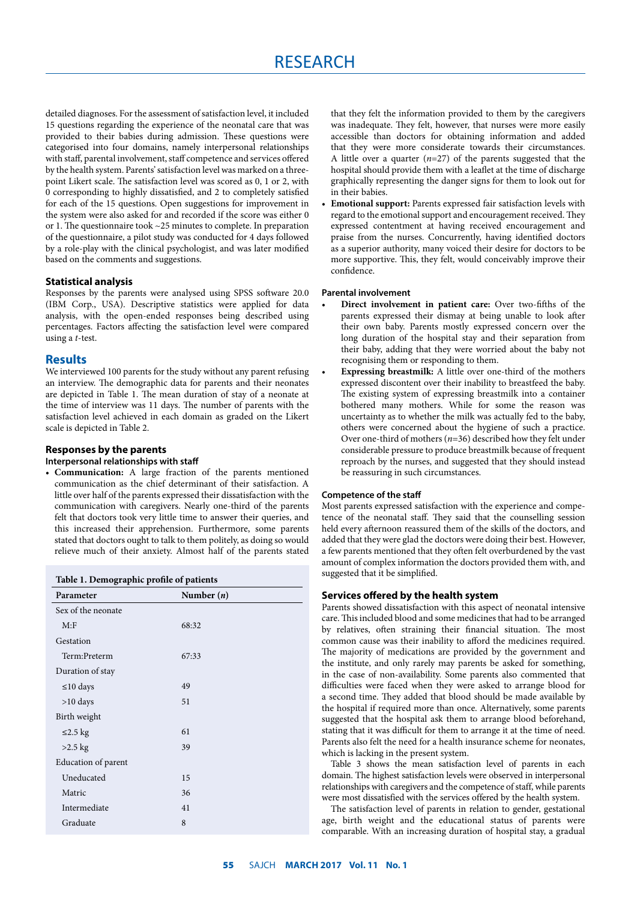detailed diagnoses. For the assessment of satisfaction level, it included 15 questions regarding the experience of the neonatal care that was provided to their babies during admission. These questions were categorised into four domains, namely interpersonal relationships with staff, parental involvement, staff competence and services offered by the health system. Parents' satisfaction level was marked on a threepoint Likert scale. The satisfaction level was scored as 0, 1 or 2, with 0 corresponding to highly dissatisfied, and 2 to completely satisfied for each of the 15 questions. Open suggestions for improvement in the system were also asked for and recorded if the score was either 0 or 1. The questionnaire took ~25 minutes to complete. In preparation of the questionnaire, a pilot study was conducted for 4 days followed by a role-play with the clinical psychologist, and was later modified based on the comments and suggestions.

## **Statistical analysis**

Responses by the parents were analysed using SPSS software 20.0 (IBM Corp., USA). Descriptive statistics were applied for data analysis, with the open-ended responses being described using percentages. Factors affecting the satisfaction level were compared using a *t*-test.

## **Results**

We interviewed 100 parents for the study without any parent refusing an interview. The demographic data for parents and their neonates are depicted in Table 1. The mean duration of stay of a neonate at the time of interview was 11 days. The number of parents with the satisfaction level achieved in each domain as graded on the Likert scale is depicted in Table 2.

# **Responses by the parents**

## **Interpersonal relationships with staff**

• **Communication:** A large fraction of the parents mentioned communication as the chief determinant of their satisfaction. A little over half of the parents expressed their dissatisfaction with the communication with caregivers. Nearly one-third of the parents felt that doctors took very little time to answer their queries, and this increased their apprehension. Furthermore, some parents stated that doctors ought to talk to them politely, as doing so would relieve much of their anxiety. Almost half of the parents stated

| Table 1. Demographic profile of patients |              |  |  |
|------------------------------------------|--------------|--|--|
| Parameter                                | Number $(n)$ |  |  |
| Sex of the neonate                       |              |  |  |
| M: F                                     | 68:32        |  |  |
| Gestation                                |              |  |  |
| Term:Preterm                             | 67:33        |  |  |
| Duration of stay                         |              |  |  |
| ≤10 days                                 | 49           |  |  |
| $>10$ days                               | 51           |  |  |
| Birth weight                             |              |  |  |
| ≤2.5 kg                                  | 61           |  |  |
| $>2.5$ kg                                | 39           |  |  |
| Education of parent                      |              |  |  |
| Uneducated                               | 15           |  |  |
| Matric                                   | 36           |  |  |
| Intermediate                             | 41           |  |  |
| Graduate                                 | 8            |  |  |

that they felt the information provided to them by the caregivers was inadequate. They felt, however, that nurses were more easily accessible than doctors for obtaining information and added that they were more considerate towards their circumstances. A little over a quarter (*n*=27) of the parents suggested that the hospital should provide them with a leaflet at the time of discharge graphically representing the danger signs for them to look out for in their babies.

• **Emotional support:** Parents expressed fair satisfaction levels with regard to the emotional support and encouragement received. They expressed contentment at having received encouragement and praise from the nurses. Concurrently, having identified doctors as a superior authority, many voiced their desire for doctors to be more supportive. This, they felt, would conceivably improve their confidence.

#### **Parental involvement**

- **Direct involvement in patient care:** Over two-fifths of the parents expressed their dismay at being unable to look after their own baby. Parents mostly expressed concern over the long duration of the hospital stay and their separation from their baby, adding that they were worried about the baby not recognising them or responding to them.
- **Expressing breastmilk:** A little over one-third of the mothers expressed discontent over their inability to breastfeed the baby. The existing system of expressing breastmilk into a container bothered many mothers. While for some the reason was uncertainty as to whether the milk was actually fed to the baby, others were concerned about the hygiene of such a practice. Over one-third of mothers (*n*=36) described how they felt under considerable pressure to produce breastmilk because of frequent reproach by the nurses, and suggested that they should instead be reassuring in such circumstances.

## **Competence of the staff**

Most parents expressed satisfaction with the experience and competence of the neonatal staff. They said that the counselling session held every afternoon reassured them of the skills of the doctors, and added that they were glad the doctors were doing their best. However, a few parents mentioned that they often felt overburdened by the vast amount of complex information the doctors provided them with, and suggested that it be simplified.

## **Services offered by the health system**

Parents showed dissatisfaction with this aspect of neonatal intensive care. This included blood and some medicines that had to be arranged by relatives, often straining their financial situation. The most common cause was their inability to afford the medicines required. The majority of medications are provided by the government and the institute, and only rarely may parents be asked for something, in the case of non-availability. Some parents also commented that difficulties were faced when they were asked to arrange blood for a second time. They added that blood should be made available by the hospital if required more than once. Alternatively, some parents suggested that the hospital ask them to arrange blood beforehand, stating that it was difficult for them to arrange it at the time of need. Parents also felt the need for a health insurance scheme for neonates, which is lacking in the present system.

Table 3 shows the mean satisfaction level of parents in each domain. The highest satisfaction levels were observed in interpersonal relationships with caregivers and the competence of staff, while parents were most dissatisfied with the services offered by the health system.

The satisfaction level of parents in relation to gender, gestational age, birth weight and the educational status of parents were comparable. With an increasing duration of hospital stay, a gradual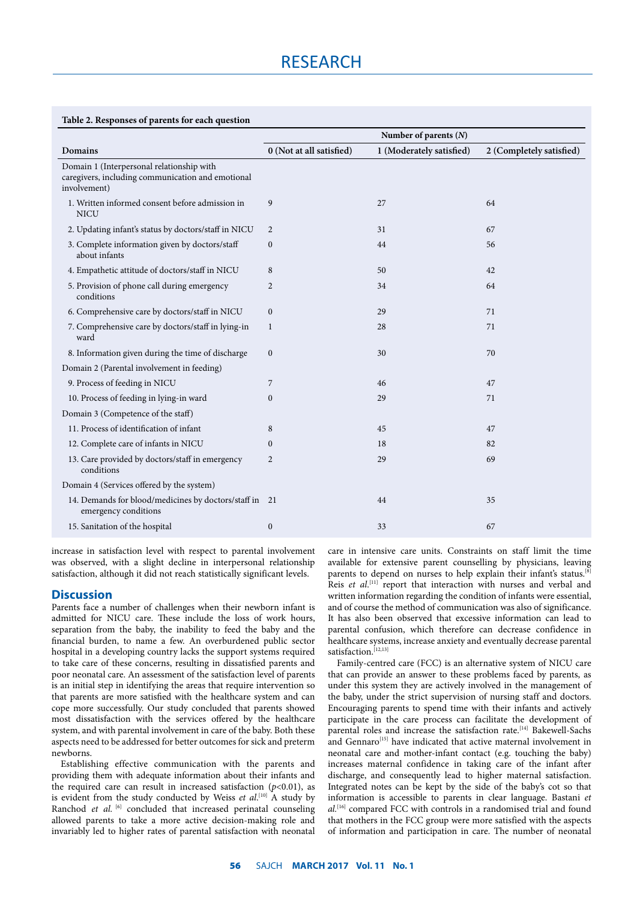# **Table 2. Responses of parents for each question**

|                                                                                                                | Number of parents $(N)$  |                          |                          |  |
|----------------------------------------------------------------------------------------------------------------|--------------------------|--------------------------|--------------------------|--|
| Domains                                                                                                        | 0 (Not at all satisfied) | 1 (Moderately satisfied) | 2 (Completely satisfied) |  |
| Domain 1 (Interpersonal relationship with<br>caregivers, including communication and emotional<br>involvement) |                          |                          |                          |  |
| 1. Written informed consent before admission in<br><b>NICU</b>                                                 | 9                        | 27                       | 64                       |  |
| 2. Updating infant's status by doctors/staff in NICU                                                           | 2                        | 31                       | 67                       |  |
| 3. Complete information given by doctors/staff<br>about infants                                                | $\mathbf{0}$             | 44                       | 56                       |  |
| 4. Empathetic attitude of doctors/staff in NICU                                                                | 8                        | 50                       | 42                       |  |
| 5. Provision of phone call during emergency<br>conditions                                                      | 2                        | 34                       | 64                       |  |
| 6. Comprehensive care by doctors/staff in NICU                                                                 | $\mathbf{0}$             | 29                       | 71                       |  |
| 7. Comprehensive care by doctors/staff in lying-in<br>ward                                                     | 1                        | 28                       | 71                       |  |
| 8. Information given during the time of discharge                                                              | $\mathbf{0}$             | 30                       | 70                       |  |
| Domain 2 (Parental involvement in feeding)                                                                     |                          |                          |                          |  |
| 9. Process of feeding in NICU                                                                                  | 7                        | 46                       | 47                       |  |
| 10. Process of feeding in lying-in ward                                                                        | $\mathbf{0}$             | 29                       | 71                       |  |
| Domain 3 (Competence of the staff)                                                                             |                          |                          |                          |  |
| 11. Process of identification of infant                                                                        | 8                        | 45                       | 47                       |  |
| 12. Complete care of infants in NICU                                                                           | $\mathbf{0}$             | 18                       | 82                       |  |
| 13. Care provided by doctors/staff in emergency<br>conditions                                                  | 2                        | 29                       | 69                       |  |
| Domain 4 (Services offered by the system)                                                                      |                          |                          |                          |  |
| 14. Demands for blood/medicines by doctors/staff in 21<br>emergency conditions                                 |                          | 44                       | 35                       |  |
| 15. Sanitation of the hospital                                                                                 | $\boldsymbol{0}$         | 33                       | 67                       |  |

increase in satisfaction level with respect to parental involvement was observed, with a slight decline in interpersonal relationship satisfaction, although it did not reach statistically significant levels.

# **Discussion**

Parents face a number of challenges when their newborn infant is admitted for NICU care. These include the loss of work hours, separation from the baby, the inability to feed the baby and the financial burden, to name a few. An overburdened public sector hospital in a developing country lacks the support systems required to take care of these concerns, resulting in dissatisfied parents and poor neonatal care. An assessment of the satisfaction level of parents is an initial step in identifying the areas that require intervention so that parents are more satisfied with the healthcare system and can cope more successfully. Our study concluded that parents showed most dissatisfaction with the services offered by the healthcare system, and with parental involvement in care of the baby. Both these aspects need to be addressed for better outcomes for sick and preterm newborns.

Establishing effective communication with the parents and providing them with adequate information about their infants and the required care can result in increased satisfaction  $(p<0.01)$ , as is evident from the study conducted by Weiss *et al*.<sup>[10]</sup> A study by Ranchod *et al.* <sup>[6]</sup> concluded that increased perinatal counseling allowed parents to take a more active decision-making role and invariably led to higher rates of parental satisfaction with neonatal

care in intensive care units. Constraints on staff limit the time available for extensive parent counselling by physicians, leaving parents to depend on nurses to help explain their infant's status.<sup>[8]</sup> Reis et al.<sup>[11]</sup> report that interaction with nurses and verbal and written information regarding the condition of infants were essential, and of course the method of communication was also of significance. It has also been observed that excessive information can lead to parental confusion, which therefore can decrease confidence in healthcare systems, increase anxiety and eventually decrease parental satisfaction.<sup>[12,13]</sup>

Family-centred care (FCC) is an alternative system of NICU care that can provide an answer to these problems faced by parents, as under this system they are actively involved in the management of the baby, under the strict supervision of nursing staff and doctors. Encouraging parents to spend time with their infants and actively participate in the care process can facilitate the development of parental roles and increase the satisfaction rate.[14] Bakewell-Sachs and Gennaro<sup>[15]</sup> have indicated that active maternal involvement in neonatal care and mother-infant contact (e.g. touching the baby) increases maternal confidence in taking care of the infant after discharge, and consequently lead to higher maternal satisfaction. Integrated notes can be kept by the side of the baby's cot so that information is accessible to parents in clear language. Bastani *et al.*[16] compared FCC with controls in a randomised trial and found that mothers in the FCC group were more satisfied with the aspects of information and participation in care. The number of neonatal